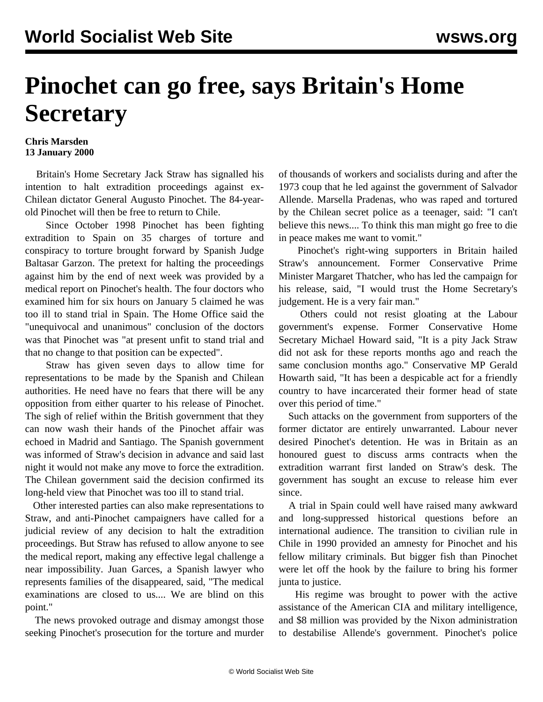## **Pinochet can go free, says Britain's Home Secretary**

## **Chris Marsden 13 January 2000**

 Britain's Home Secretary Jack Straw has signalled his intention to halt extradition proceedings against ex-Chilean dictator General Augusto Pinochet. The 84-yearold Pinochet will then be free to return to Chile.

 Since October 1998 Pinochet has been fighting extradition to Spain on 35 charges of torture and conspiracy to torture brought forward by Spanish Judge Baltasar Garzon. The pretext for halting the proceedings against him by the end of next week was provided by a medical report on Pinochet's health. The four doctors who examined him for six hours on January 5 claimed he was too ill to stand trial in Spain. The Home Office said the "unequivocal and unanimous" conclusion of the doctors was that Pinochet was "at present unfit to stand trial and that no change to that position can be expected".

 Straw has given seven days to allow time for representations to be made by the Spanish and Chilean authorities. He need have no fears that there will be any opposition from either quarter to his release of Pinochet. The sigh of relief within the British government that they can now wash their hands of the Pinochet affair was echoed in Madrid and Santiago. The Spanish government was informed of Straw's decision in advance and said last night it would not make any move to force the extradition. The Chilean government said the decision confirmed its long-held view that Pinochet was too ill to stand trial.

 Other interested parties can also make representations to Straw, and anti-Pinochet campaigners have called for a judicial review of any decision to halt the extradition proceedings. But Straw has refused to allow anyone to see the medical report, making any effective legal challenge a near impossibility. Juan Garces, a Spanish lawyer who represents families of the disappeared, said, "The medical examinations are closed to us.... We are blind on this point."

 The news provoked outrage and dismay amongst those seeking Pinochet's prosecution for the torture and murder of thousands of workers and socialists during and after the 1973 coup that he led against the government of Salvador Allende. Marsella Pradenas, who was raped and tortured by the Chilean secret police as a teenager, said: "I can't believe this news.... To think this man might go free to die in peace makes me want to vomit."

 Pinochet's right-wing supporters in Britain hailed Straw's announcement. Former Conservative Prime Minister Margaret Thatcher, who has led the campaign for his release, said, "I would trust the Home Secretary's judgement. He is a very fair man."

 Others could not resist gloating at the Labour government's expense. Former Conservative Home Secretary Michael Howard said, "It is a pity Jack Straw did not ask for these reports months ago and reach the same conclusion months ago." Conservative MP Gerald Howarth said, "It has been a despicable act for a friendly country to have incarcerated their former head of state over this period of time."

 Such attacks on the government from supporters of the former dictator are entirely unwarranted. Labour never desired Pinochet's detention. He was in Britain as an honoured guest to discuss arms contracts when the extradition warrant first landed on Straw's desk. The government has sought an excuse to release him ever since.

 A trial in Spain could well have raised many awkward and long-suppressed historical questions before an international audience. The transition to civilian rule in Chile in 1990 provided an amnesty for Pinochet and his fellow military criminals. But bigger fish than Pinochet were let off the hook by the failure to bring his former junta to justice.

 His regime was brought to power with the active assistance of the American CIA and military intelligence, and \$8 million was provided by the Nixon administration to destabilise Allende's government. Pinochet's police